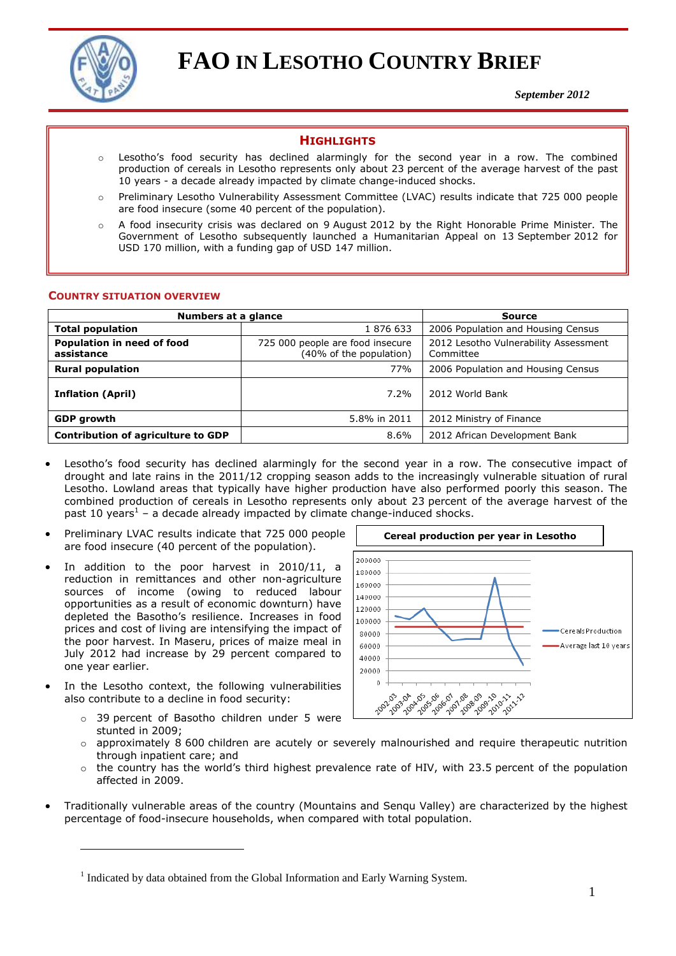

# **FAO IN LESOTHO COUNTRY BRIEF**

*September 2012*

# **HIGHLIGHTS**

- o Lesotho's food security has declined alarmingly for the second year in a row. The combined production of cereals in Lesotho represents only about 23 percent of the average harvest of the past 10 years - a decade already impacted by climate change-induced shocks.
- o Preliminary Lesotho Vulnerability Assessment Committee (LVAC) results indicate that 725 000 people are food insecure (some 40 percent of the population).
- A food insecurity crisis was declared on 9 August 2012 by the Right Honorable Prime Minister. The Government of Lesotho subsequently launched a Humanitarian Appeal on 13 September 2012 for USD 170 million, with a funding gap of USD 147 million.

#### **COUNTRY SITUATION OVERVIEW**

| Numbers at a glance                       |                                                             | <b>Source</b>                                      |  |  |
|-------------------------------------------|-------------------------------------------------------------|----------------------------------------------------|--|--|
| <b>Total population</b>                   | 1876633                                                     | 2006 Population and Housing Census                 |  |  |
| Population in need of food<br>assistance  | 725 000 people are food insecure<br>(40% of the population) | 2012 Lesotho Vulnerability Assessment<br>Committee |  |  |
| <b>Rural population</b>                   | 77%                                                         | 2006 Population and Housing Census                 |  |  |
| <b>Inflation (April)</b>                  | 7.2%                                                        | 2012 World Bank                                    |  |  |
| <b>GDP</b> growth                         | 5.8% in 2011                                                | 2012 Ministry of Finance                           |  |  |
| <b>Contribution of agriculture to GDP</b> | 8.6%                                                        | 2012 African Development Bank                      |  |  |

- Lesotho's food security has declined alarmingly for the second year in a row. The consecutive impact of drought and late rains in the 2011/12 cropping season adds to the increasingly vulnerable situation of rural Lesotho. Lowland areas that typically have higher production have also performed poorly this season. The combined production of cereals in Lesotho represents only about 23 percent of the average harvest of the past 10 years<sup>1</sup> – a decade already impacted by climate change-induced shocks.
- Preliminary LVAC results indicate that 725 000 people are food insecure (40 percent of the population).
- In addition to the poor harvest in 2010/11, a reduction in remittances and other non-agriculture sources of income (owing to reduced labour opportunities as a result of economic downturn) have depleted the Basotho's resilience. Increases in food prices and cost of living are intensifying the impact of the poor harvest. In Maseru, prices of maize meal in July 2012 had increase by 29 percent compared to one year earlier.
- In the Lesotho context, the following vulnerabilities also contribute to a decline in food security:

 $\overline{a}$ 

o 39 percent of Basotho children under 5 were stunted in 2009;



- $\circ$  approximately 8 600 children are acutely or severely malnourished and require therapeutic nutrition through inpatient care; and
- $\circ$  the country has the world's third highest prevalence rate of HIV, with 23.5 percent of the population affected in 2009.
- Traditionally vulnerable areas of the country (Mountains and Senqu Valley) are characterized by the highest percentage of food-insecure households, when compared with total population.

<sup>&</sup>lt;sup>1</sup> Indicated by data obtained from the Global Information and Early Warning System.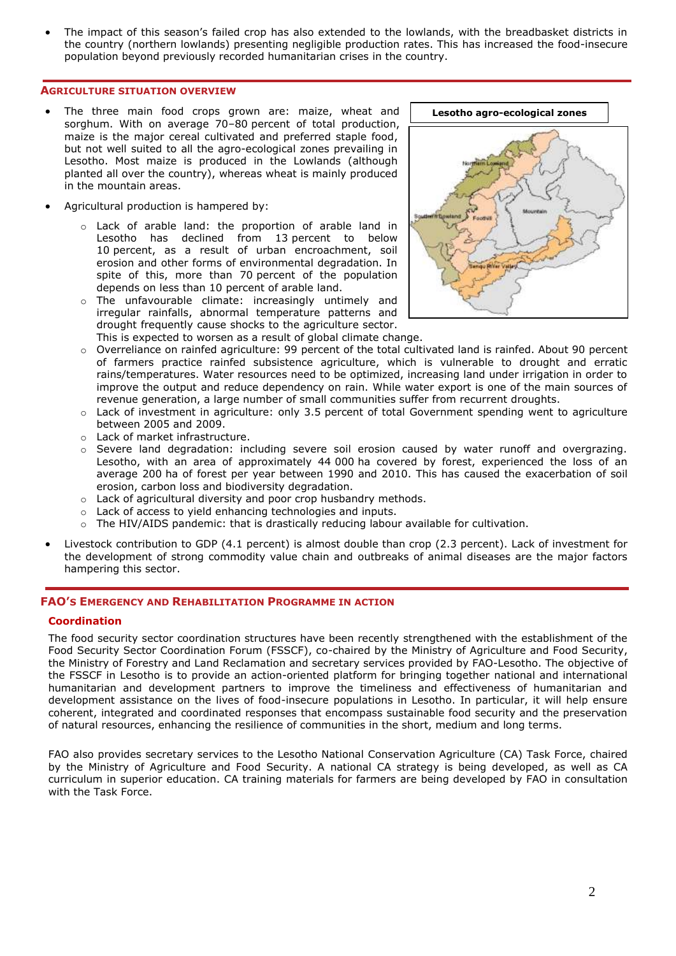The impact of this season's failed crop has also extended to the lowlands, with the breadbasket districts in the country (northern lowlands) presenting negligible production rates. This has increased the food-insecure population beyond previously recorded humanitarian crises in the country.

#### **AGRICULTURE SITUATION OVERVIEW**

- The three main food crops grown are: maize, wheat and sorghum. With on average 70–80 percent of total production, maize is the major cereal cultivated and preferred staple food, but not well suited to all the agro-ecological zones prevailing in Lesotho. Most maize is produced in the Lowlands (although planted all over the country), whereas wheat is mainly produced in the mountain areas.
- Agricultural production is hampered by:
	- o Lack of arable land: the proportion of arable land in Lesotho has declined from 13 percent to below 10 percent, as a result of urban encroachment, soil erosion and other forms of environmental degradation. In spite of this, more than 70 percent of the population depends on less than 10 percent of arable land.
	- o The unfavourable climate: increasingly untimely and irregular rainfalls, abnormal temperature patterns and drought frequently cause shocks to the agriculture sector.



- This is expected to worsen as a result of global climate change.
- Overreliance on rainfed agriculture: 99 percent of the total cultivated land is rainfed. About 90 percent of farmers practice rainfed subsistence agriculture, which is vulnerable to drought and erratic rains/temperatures. Water resources need to be optimized, increasing land under irrigation in order to improve the output and reduce dependency on rain. While water export is one of the main sources of revenue generation, a large number of small communities suffer from recurrent droughts.
- o Lack of investment in agriculture: only 3.5 percent of total Government spending went to agriculture between 2005 and 2009.
- o Lack of market infrastructure.
- o Severe land degradation: including severe soil erosion caused by water runoff and overgrazing. Lesotho, with an area of approximately 44 000 ha covered by forest, experienced the loss of an average 200 ha of forest per year between 1990 and 2010. This has caused the exacerbation of soil erosion, carbon loss and biodiversity degradation.
- o Lack of agricultural diversity and poor crop husbandry methods.
- o Lack of access to yield enhancing technologies and inputs.
- $\circ$  The HIV/AIDS pandemic: that is drastically reducing labour available for cultivation.
- Livestock contribution to GDP (4.1 percent) is almost double than crop (2.3 percent). Lack of investment for the development of strong commodity value chain and outbreaks of animal diseases are the major factors hampering this sector.

# **FAO'S EMERGENCY AND REHABILITATION PROGRAMME IN ACTION**

#### **Coordination**

The food security sector coordination structures have been recently strengthened with the establishment of the Food Security Sector Coordination Forum (FSSCF), co-chaired by the Ministry of Agriculture and Food Security, the Ministry of Forestry and Land Reclamation and secretary services provided by FAO-Lesotho. The objective of the FSSCF in Lesotho is to provide an action-oriented platform for bringing together national and international humanitarian and development partners to improve the timeliness and effectiveness of humanitarian and development assistance on the lives of food-insecure populations in Lesotho. In particular, it will help ensure coherent, integrated and coordinated responses that encompass sustainable food security and the preservation of natural resources, enhancing the resilience of communities in the short, medium and long terms.

FAO also provides secretary services to the Lesotho National Conservation Agriculture (CA) Task Force, chaired by the Ministry of Agriculture and Food Security. A national CA strategy is being developed, as well as CA curriculum in superior education. CA training materials for farmers are being developed by FAO in consultation with the Task Force.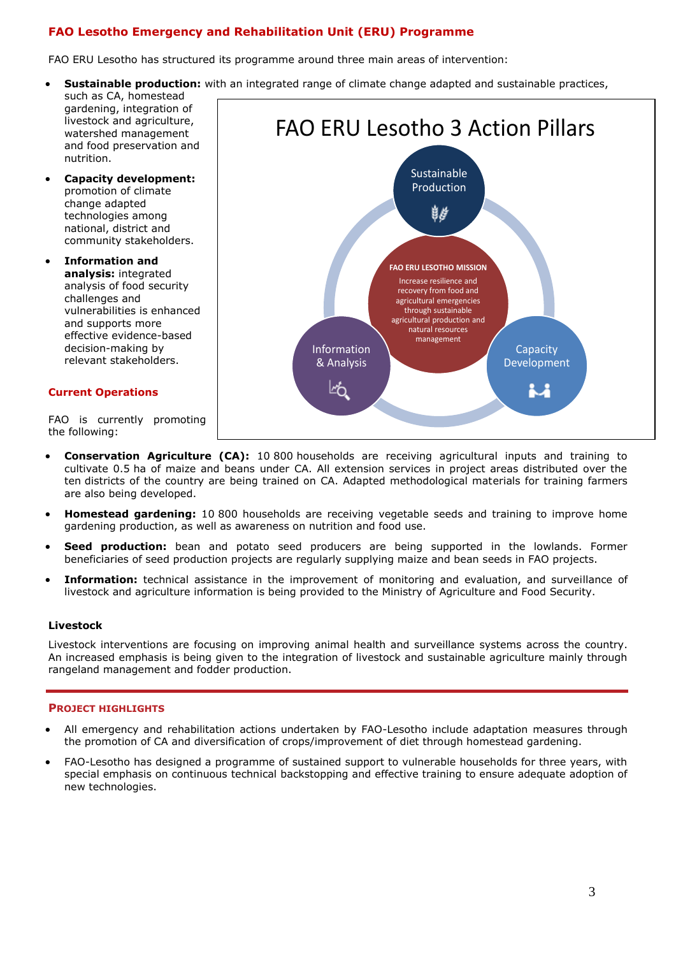# **FAO Lesotho Emergency and Rehabilitation Unit (ERU) Programme**

FAO ERU Lesotho has structured its programme around three main areas of intervention:

- **Sustainable production:** with an integrated range of climate change adapted and sustainable practices,
- such as CA, homestead gardening, integration of livestock and agriculture, watershed management and food preservation and nutrition.
- **Capacity development:** promotion of climate change adapted technologies among national, district and community stakeholders.
- **Information and analysis:** integrated analysis of food security challenges and vulnerabilities is enhanced and supports more effective evidence-based decision-making by relevant stakeholders.

#### **Current Operations**

FAO is currently promoting the following:



- **Conservation Agriculture (CA):** 10 800 households are receiving agricultural inputs and training to cultivate 0.5 ha of maize and beans under CA. All extension services in project areas distributed over the ten districts of the country are being trained on CA. Adapted methodological materials for training farmers are also being developed.
- **Homestead gardening:** 10 800 households are receiving vegetable seeds and training to improve home gardening production, as well as awareness on nutrition and food use.
- **Seed production:** bean and potato seed producers are being supported in the lowlands. Former beneficiaries of seed production projects are regularly supplying maize and bean seeds in FAO projects.
- **Information:** technical assistance in the improvement of monitoring and evaluation, and surveillance of livestock and agriculture information is being provided to the Ministry of Agriculture and Food Security.

# **Livestock**

Livestock interventions are focusing on improving animal health and surveillance systems across the country. An increased emphasis is being given to the integration of livestock and sustainable agriculture mainly through rangeland management and fodder production.

#### **PROJECT HIGHLIGHTS**

- All emergency and rehabilitation actions undertaken by FAO-Lesotho include adaptation measures through the promotion of CA and diversification of crops/improvement of diet through homestead gardening.
- FAO-Lesotho has designed a programme of sustained support to vulnerable households for three years, with special emphasis on continuous technical backstopping and effective training to ensure adequate adoption of new technologies.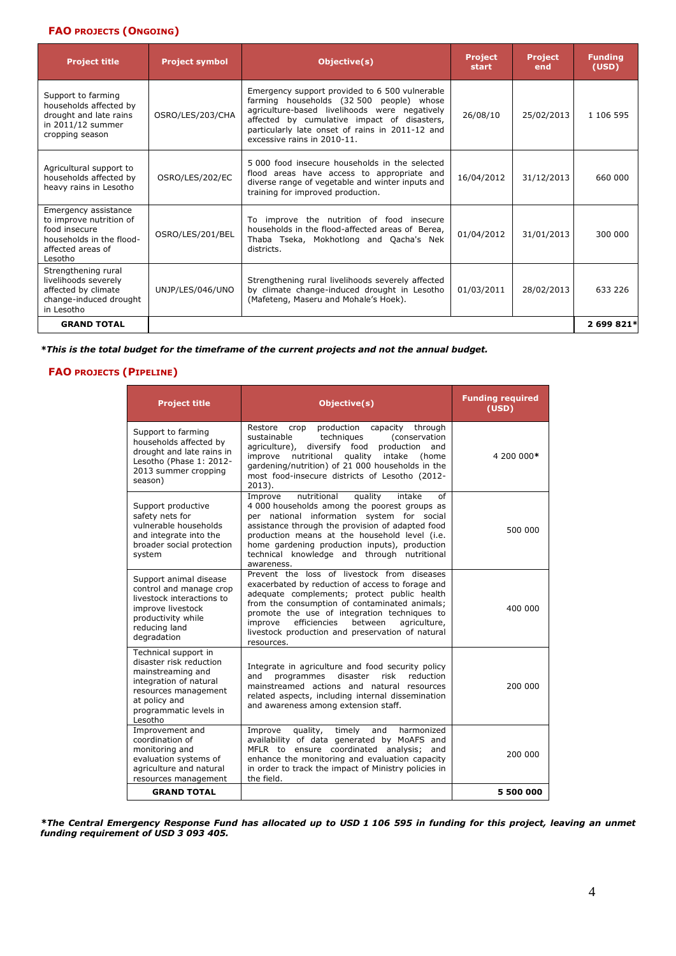# **FAO PROJECTS (ONGOING)**

| <b>Project title</b>                                                                                                         | <b>Project symbol</b> | Objective(s)                                                                                                                                                                                                                                                                 | <b>Project</b><br>start | <b>Project</b><br>end | <b>Funding</b><br>(USD) |
|------------------------------------------------------------------------------------------------------------------------------|-----------------------|------------------------------------------------------------------------------------------------------------------------------------------------------------------------------------------------------------------------------------------------------------------------------|-------------------------|-----------------------|-------------------------|
| Support to farming<br>households affected by<br>drought and late rains<br>in 2011/12 summer<br>cropping season               | OSRO/LES/203/CHA      | Emergency support provided to 6 500 vulnerable<br>farming households (32 500 people) whose<br>agriculture-based livelihoods were negatively<br>affected by cumulative impact of disasters,<br>particularly late onset of rains in 2011-12 and<br>excessive rains in 2010-11. | 26/08/10                | 25/02/2013            | 1 106 595               |
| Agricultural support to<br>households affected by<br>heavy rains in Lesotho                                                  | OSRO/LES/202/EC       | 5,000 food insecure households in the selected<br>flood areas have access to appropriate and<br>diverse range of vegetable and winter inputs and<br>training for improved production.                                                                                        | 16/04/2012              | 31/12/2013            | 660 000                 |
| Emergency assistance<br>to improve nutrition of<br>food insecure<br>households in the flood-<br>affected areas of<br>Lesotho | OSRO/LES/201/BEL      | To improve the nutrition of food insecure<br>households in the flood-affected areas of Berea,<br>Thaba Tseka, Mokhotlong and Qacha's Nek<br>districts.                                                                                                                       | 01/04/2012              | 31/01/2013            | 300 000                 |
| Strengthening rural<br>livelihoods severely<br>affected by climate<br>change-induced drought<br>in Lesotho                   | UNJP/LES/046/UNO      | Strengthening rural livelihoods severely affected<br>by climate change-induced drought in Lesotho<br>(Mafeteng, Maseru and Mohale's Hoek).                                                                                                                                   | 01/03/2011              | 28/02/2013            | 633 226                 |
| <b>GRAND TOTAL</b>                                                                                                           |                       |                                                                                                                                                                                                                                                                              |                         |                       | 2 699 821*              |

*\*This is the total budget for the timeframe of the current projects and not the annual budget.*

# **FAO PROJECTS (PIPELINE)**

| <b>Project title</b>                                                                                                                                                         | Objective(s)                                                                                                                                                                                                                                                                                                                                                            | <b>Funding required</b><br>(USD) |
|------------------------------------------------------------------------------------------------------------------------------------------------------------------------------|-------------------------------------------------------------------------------------------------------------------------------------------------------------------------------------------------------------------------------------------------------------------------------------------------------------------------------------------------------------------------|----------------------------------|
| Support to farming<br>households affected by<br>drought and late rains in<br>Lesotho (Phase 1: 2012-<br>2013 summer cropping<br>season)                                      | Restore<br>production capacity through<br>crop<br>(conservation<br>sustainable<br>techniques<br>diversify food production<br>agriculture),<br>and<br>improve<br>nutritional<br>quality intake<br>(home<br>gardening/nutrition) of 21 000 households in the<br>most food-insecure districts of Lesotho (2012-<br>$2013$ ).                                               | 4 200 000*                       |
| Support productive<br>safety nets for<br>vulnerable households<br>and integrate into the<br>broader social protection<br>system                                              | quality<br>Improve<br>nutritional<br>intake<br>of<br>4 000 households among the poorest groups as<br>per national information system for social<br>assistance through the provision of adapted food<br>production means at the household level (i.e.<br>home gardening production inputs), production<br>technical knowledge and through nutritional<br>awareness.      | 500 000                          |
| Support animal disease<br>control and manage crop<br>livestock interactions to<br>improve livestock<br>productivity while<br>reducing land<br>degradation                    | Prevent the loss of livestock from diseases<br>exacerbated by reduction of access to forage and<br>adequate complements; protect public health<br>from the consumption of contaminated animals;<br>promote the use of integration techniques to<br>improve<br>efficiencies<br>between<br>agriculture,<br>livestock production and preservation of natural<br>resources. | 400 000                          |
| Technical support in<br>disaster risk reduction<br>mainstreaming and<br>integration of natural<br>resources management<br>at policy and<br>programmatic levels in<br>Lesotho | Integrate in agriculture and food security policy<br>reduction<br>programmes<br>disaster<br>risk<br>and<br>mainstreamed actions and natural resources<br>related aspects, including internal dissemination<br>and awareness among extension staff.                                                                                                                      | 200 000                          |
| Improvement and<br>coordination of<br>monitoring and<br>evaluation systems of<br>agriculture and natural<br>resources management                                             | quality,<br>Improve<br>timely<br>and<br>harmonized<br>availability of data generated by MoAFS and<br>MFLR to ensure coordinated analysis: and<br>enhance the monitoring and evaluation capacity<br>in order to track the impact of Ministry policies in<br>the field.                                                                                                   | 200 000                          |
| <b>GRAND TOTAL</b>                                                                                                                                                           |                                                                                                                                                                                                                                                                                                                                                                         | 5 500 000                        |

*\*The Central Emergency Response Fund has allocated up to USD 1 106 595 in funding for this project, leaving an unmet funding requirement of USD 3 093 405.*